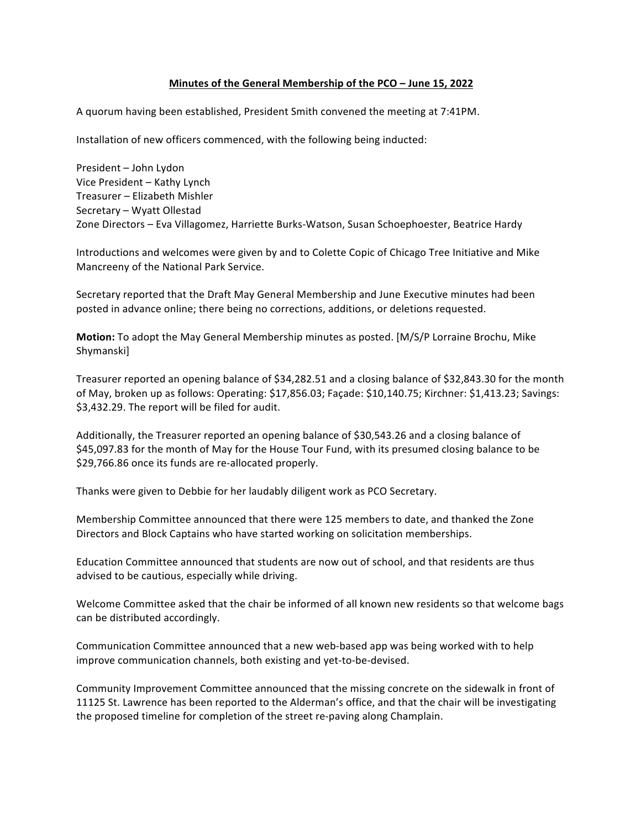## **Minutes of the General Membership of the PCO – June 15, 2022**

A quorum having been established, President Smith convened the meeting at 7:41PM.

Installation of new officers commenced, with the following being inducted:

President - John Lydon Vice President – Kathy Lynch Treasurer - Elizabeth Mishler Secretary – Wyatt Ollestad Zone Directors - Eva Villagomez, Harriette Burks-Watson, Susan Schoephoester, Beatrice Hardy

Introductions and welcomes were given by and to Colette Copic of Chicago Tree Initiative and Mike Mancreeny of the National Park Service.

Secretary reported that the Draft May General Membership and June Executive minutes had been posted in advance online; there being no corrections, additions, or deletions requested.

**Motion:** To adopt the May General Membership minutes as posted. [M/S/P Lorraine Brochu, Mike Shymanski]

Treasurer reported an opening balance of \$34,282.51 and a closing balance of \$32,843.30 for the month of May, broken up as follows: Operating: \$17,856.03; Façade: \$10,140.75; Kirchner: \$1,413.23; Savings: \$3,432.29. The report will be filed for audit.

Additionally, the Treasurer reported an opening balance of \$30,543.26 and a closing balance of \$45,097.83 for the month of May for the House Tour Fund, with its presumed closing balance to be \$29,766.86 once its funds are re-allocated properly.

Thanks were given to Debbie for her laudably diligent work as PCO Secretary.

Membership Committee announced that there were 125 members to date, and thanked the Zone Directors and Block Captains who have started working on solicitation memberships.

Education Committee announced that students are now out of school, and that residents are thus advised to be cautious, especially while driving.

Welcome Committee asked that the chair be informed of all known new residents so that welcome bags can be distributed accordingly.

Communication Committee announced that a new web-based app was being worked with to help improve communication channels, both existing and yet-to-be-devised.

Community Improvement Committee announced that the missing concrete on the sidewalk in front of 11125 St. Lawrence has been reported to the Alderman's office, and that the chair will be investigating the proposed timeline for completion of the street re-paving along Champlain.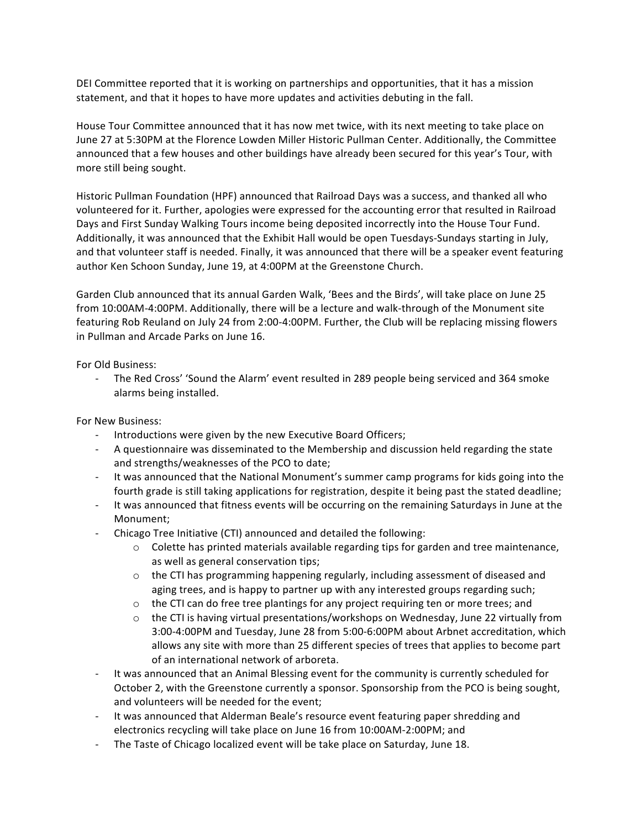DEI Committee reported that it is working on partnerships and opportunities, that it has a mission statement, and that it hopes to have more updates and activities debuting in the fall.

House Tour Committee announced that it has now met twice, with its next meeting to take place on June 27 at 5:30PM at the Florence Lowden Miller Historic Pullman Center. Additionally, the Committee announced that a few houses and other buildings have already been secured for this year's Tour, with more still being sought.

Historic Pullman Foundation (HPF) announced that Railroad Days was a success, and thanked all who volunteered for it. Further, apologies were expressed for the accounting error that resulted in Railroad Days and First Sunday Walking Tours income being deposited incorrectly into the House Tour Fund. Additionally, it was announced that the Exhibit Hall would be open Tuesdays-Sundays starting in July, and that volunteer staff is needed. Finally, it was announced that there will be a speaker event featuring author Ken Schoon Sunday, June 19, at 4:00PM at the Greenstone Church.

Garden Club announced that its annual Garden Walk, 'Bees and the Birds', will take place on June 25 from 10:00AM-4:00PM. Additionally, there will be a lecture and walk-through of the Monument site featuring Rob Reuland on July 24 from 2:00-4:00PM. Further, the Club will be replacing missing flowers in Pullman and Arcade Parks on June 16.

For Old Business:

- The Red Cross' 'Sound the Alarm' event resulted in 289 people being serviced and 364 smoke alarms being installed.

For New Business:

- Introductions were given by the new Executive Board Officers;
- A questionnaire was disseminated to the Membership and discussion held regarding the state and strengths/weaknesses of the PCO to date;
- It was announced that the National Monument's summer camp programs for kids going into the fourth grade is still taking applications for registration, despite it being past the stated deadline;
- It was announced that fitness events will be occurring on the remaining Saturdays in June at the Monument;
- Chicago Tree Initiative (CTI) announced and detailed the following:
	- $\circ$  Colette has printed materials available regarding tips for garden and tree maintenance, as well as general conservation tips;
	- $\circ$  the CTI has programming happening regularly, including assessment of diseased and aging trees, and is happy to partner up with any interested groups regarding such;
	- $\circ$  the CTI can do free tree plantings for any project requiring ten or more trees; and
	- $\circ$  the CTI is having virtual presentations/workshops on Wednesday, June 22 virtually from 3:00-4:00PM and Tuesday, June 28 from 5:00-6:00PM about Arbnet accreditation, which allows any site with more than 25 different species of trees that applies to become part of an international network of arboreta.
- It was announced that an Animal Blessing event for the community is currently scheduled for October 2, with the Greenstone currently a sponsor. Sponsorship from the PCO is being sought, and volunteers will be needed for the event;
- It was announced that Alderman Beale's resource event featuring paper shredding and electronics recycling will take place on June 16 from 10:00AM-2:00PM; and
- The Taste of Chicago localized event will be take place on Saturday, June 18.